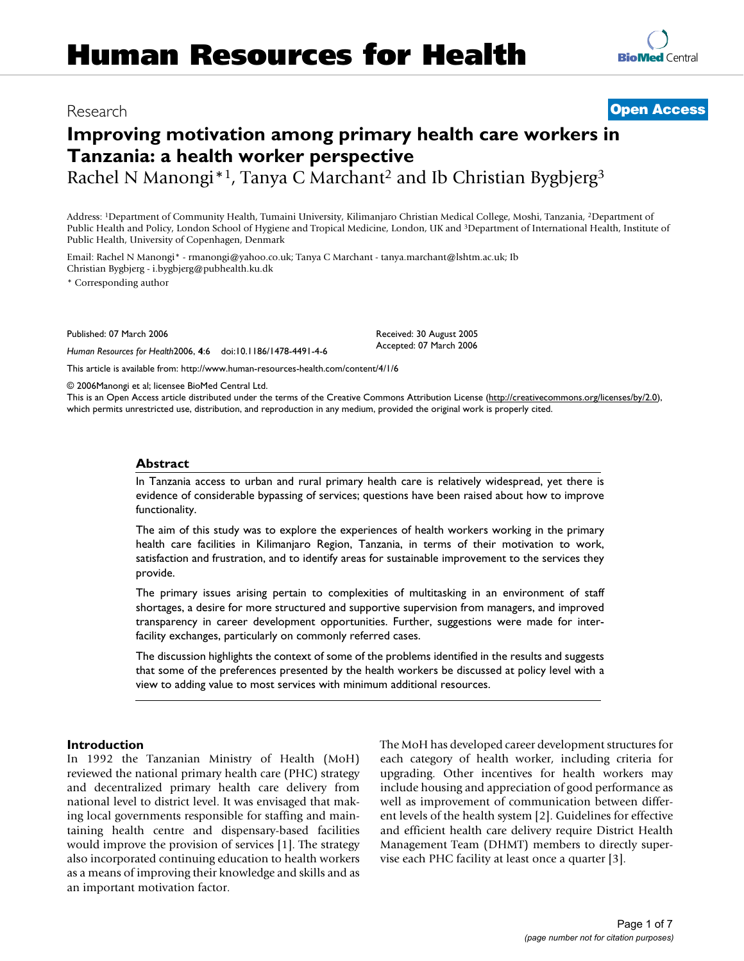# Research **[Open Access](http://www.biomedcentral.com/info/about/charter/)**

# **Improving motivation among primary health care workers in Tanzania: a health worker perspective**

Rachel N Manongi\*<sup>1</sup>, Tanya C Marchant<sup>2</sup> and Ib Christian Bygbjerg<sup>3</sup>

Address: 1Department of Community Health, Tumaini University, Kilimanjaro Christian Medical College, Moshi, Tanzania, 2Department of Public Health and Policy, London School of Hygiene and Tropical Medicine, London, UK and 3Department of International Health, Institute of Public Health, University of Copenhagen, Denmark

Email: Rachel N Manongi\* - rmanongi@yahoo.co.uk; Tanya C Marchant - tanya.marchant@lshtm.ac.uk; Ib Christian Bygbjerg - i.bygbjerg@pubhealth.ku.dk

\* Corresponding author

Published: 07 March 2006

*Human Resources for Health*2006, **4**:6 doi:10.1186/1478-4491-4-6

[This article is available from: http://www.human-resources-health.com/content/4/1/6](http://www.human-resources-health.com/content/4/1/6)

© 2006Manongi et al; licensee BioMed Central Ltd.

This is an Open Access article distributed under the terms of the Creative Commons Attribution License [\(http://creativecommons.org/licenses/by/2.0\)](http://creativecommons.org/licenses/by/2.0), which permits unrestricted use, distribution, and reproduction in any medium, provided the original work is properly cited.

## **Abstract**

In Tanzania access to urban and rural primary health care is relatively widespread, yet there is evidence of considerable bypassing of services; questions have been raised about how to improve functionality.

The aim of this study was to explore the experiences of health workers working in the primary health care facilities in Kilimanjaro Region, Tanzania, in terms of their motivation to work, satisfaction and frustration, and to identify areas for sustainable improvement to the services they provide.

The primary issues arising pertain to complexities of multitasking in an environment of staff shortages, a desire for more structured and supportive supervision from managers, and improved transparency in career development opportunities. Further, suggestions were made for interfacility exchanges, particularly on commonly referred cases.

The discussion highlights the context of some of the problems identified in the results and suggests that some of the preferences presented by the health workers be discussed at policy level with a view to adding value to most services with minimum additional resources.

## **Introduction**

In 1992 the Tanzanian Ministry of Health (MoH) reviewed the national primary health care (PHC) strategy and decentralized primary health care delivery from national level to district level. It was envisaged that making local governments responsible for staffing and maintaining health centre and dispensary-based facilities would improve the provision of services [1]. The strategy also incorporated continuing education to health workers as a means of improving their knowledge and skills and as an important motivation factor.

The MoH has developed career development structures for each category of health worker, including criteria for upgrading. Other incentives for health workers may include housing and appreciation of good performance as well as improvement of communication between different levels of the health system [2]. Guidelines for effective and efficient health care delivery require District Health Management Team (DHMT) members to directly supervise each PHC facility at least once a quarter [3].



Accepted: 07 March 2006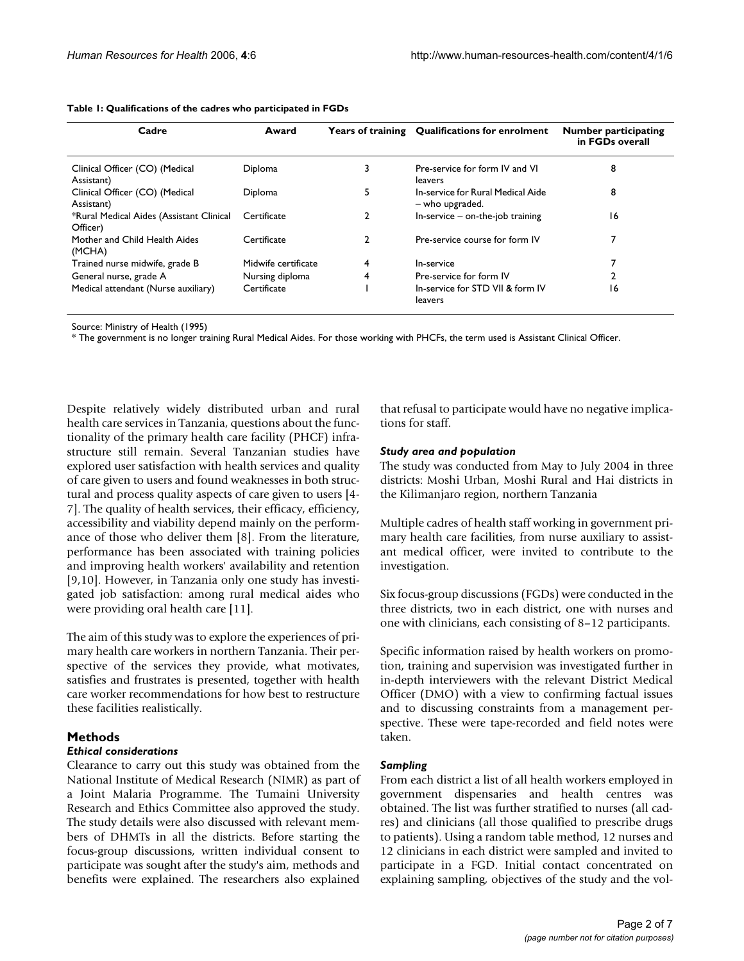| Cadre                                                | Award               |                | Years of training Qualifications for enrolment         | <b>Number participating</b><br>in <b>FGDs</b> overall |
|------------------------------------------------------|---------------------|----------------|--------------------------------------------------------|-------------------------------------------------------|
| Clinical Officer (CO) (Medical<br>Assistant)         | Diploma             | 3              | Pre-service for form IV and VI<br>leavers              | 8                                                     |
| Clinical Officer (CO) (Medical<br>Assistant)         | Diploma             | 5              | In-service for Rural Medical Aide<br>$-$ who upgraded. | 8                                                     |
| *Rural Medical Aides (Assistant Clinical<br>Officer) | Certificate         | 2              | $In-service - on-the-job training$                     | 16                                                    |
| Mother and Child Health Aides<br>(MCHA)              | Certificate         | $\overline{2}$ | Pre-service course for form IV                         |                                                       |
| Trained nurse midwife, grade B                       | Midwife certificate | 4              | In-service                                             |                                                       |
| General nurse, grade A                               | Nursing diploma     | 4              | Pre-service for form IV                                |                                                       |
| Medical attendant (Nurse auxiliary)                  | Certificate         |                | In-service for STD VII & form IV<br>leavers            | 16                                                    |

**Table 1: Qualifications of the cadres who participated in FGDs**

Source: Ministry of Health (1995)

\* The government is no longer training Rural Medical Aides. For those working with PHCFs, the term used is Assistant Clinical Officer.

Despite relatively widely distributed urban and rural health care services in Tanzania, questions about the functionality of the primary health care facility (PHCF) infrastructure still remain. Several Tanzanian studies have explored user satisfaction with health services and quality of care given to users and found weaknesses in both structural and process quality aspects of care given to users [4- 7]. The quality of health services, their efficacy, efficiency, accessibility and viability depend mainly on the performance of those who deliver them [8]. From the literature, performance has been associated with training policies and improving health workers' availability and retention [9,10]. However, in Tanzania only one study has investigated job satisfaction: among rural medical aides who were providing oral health care [11].

The aim of this study was to explore the experiences of primary health care workers in northern Tanzania. Their perspective of the services they provide, what motivates, satisfies and frustrates is presented, together with health care worker recommendations for how best to restructure these facilities realistically.

## **Methods**

## *Ethical considerations*

Clearance to carry out this study was obtained from the National Institute of Medical Research (NIMR) as part of a Joint Malaria Programme. The Tumaini University Research and Ethics Committee also approved the study. The study details were also discussed with relevant members of DHMTs in all the districts. Before starting the focus-group discussions, written individual consent to participate was sought after the study's aim, methods and benefits were explained. The researchers also explained that refusal to participate would have no negative implications for staff.

## *Study area and population*

The study was conducted from May to July 2004 in three districts: Moshi Urban, Moshi Rural and Hai districts in the Kilimanjaro region, northern Tanzania

Multiple cadres of health staff working in government primary health care facilities, from nurse auxiliary to assistant medical officer, were invited to contribute to the investigation.

Six focus-group discussions (FGDs) were conducted in the three districts, two in each district, one with nurses and one with clinicians, each consisting of 8–12 participants.

Specific information raised by health workers on promotion, training and supervision was investigated further in in-depth interviewers with the relevant District Medical Officer (DMO) with a view to confirming factual issues and to discussing constraints from a management perspective. These were tape-recorded and field notes were taken.

## *Sampling*

From each district a list of all health workers employed in government dispensaries and health centres was obtained. The list was further stratified to nurses (all cadres) and clinicians (all those qualified to prescribe drugs to patients). Using a random table method, 12 nurses and 12 clinicians in each district were sampled and invited to participate in a FGD. Initial contact concentrated on explaining sampling, objectives of the study and the vol-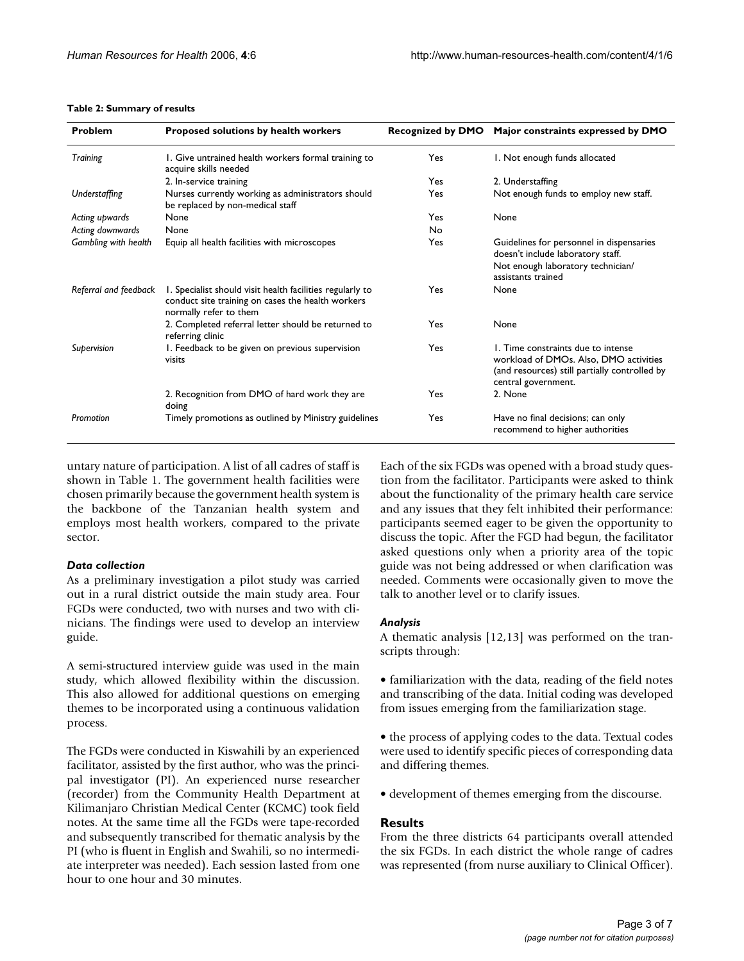| Problem               | Proposed solutions by health workers                                                                                                     | <b>Recognized by DMO</b> | Major constraints expressed by DMO                                                                                                                   |
|-----------------------|------------------------------------------------------------------------------------------------------------------------------------------|--------------------------|------------------------------------------------------------------------------------------------------------------------------------------------------|
| <b>Training</b>       | I. Give untrained health workers formal training to<br>acquire skills needed                                                             | Yes.                     | 1. Not enough funds allocated                                                                                                                        |
|                       | 2. In-service training                                                                                                                   | Yes                      | 2. Understaffing                                                                                                                                     |
| Understaffing         | Nurses currently working as administrators should<br>be replaced by non-medical staff                                                    | Yes                      | Not enough funds to employ new staff.                                                                                                                |
| Acting upwards        | None                                                                                                                                     | Yes                      | None                                                                                                                                                 |
| Acting downwards      | None                                                                                                                                     | No                       |                                                                                                                                                      |
| Gambling with health  | Equip all health facilities with microscopes                                                                                             | Yes                      | Guidelines for personnel in dispensaries<br>doesn't include laboratory staff.<br>Not enough laboratory technician/<br>assistants trained             |
| Referral and feedback | 1. Specialist should visit health facilities regularly to<br>conduct site training on cases the health workers<br>normally refer to them | Yes                      | None                                                                                                                                                 |
|                       | 2. Completed referral letter should be returned to<br>referring clinic                                                                   | Yes                      | None                                                                                                                                                 |
| Supervision           | I. Feedback to be given on previous supervision<br>visits                                                                                | Yes                      | L. Time constraints due to intense<br>workload of DMOs. Also, DMO activities<br>(and resources) still partially controlled by<br>central government. |
|                       | 2. Recognition from DMO of hard work they are<br>doing                                                                                   | Yes                      | 2. None                                                                                                                                              |
| Promotion             | Timely promotions as outlined by Ministry guidelines                                                                                     | Yes                      | Have no final decisions; can only<br>recommend to higher authorities                                                                                 |

#### **Table 2: Summary of results**

untary nature of participation. A list of all cadres of staff is shown in Table 1. The government health facilities were chosen primarily because the government health system is the backbone of the Tanzanian health system and employs most health workers, compared to the private sector.

## *Data collection*

As a preliminary investigation a pilot study was carried out in a rural district outside the main study area. Four FGDs were conducted, two with nurses and two with clinicians. The findings were used to develop an interview guide.

A semi-structured interview guide was used in the main study, which allowed flexibility within the discussion. This also allowed for additional questions on emerging themes to be incorporated using a continuous validation process.

The FGDs were conducted in Kiswahili by an experienced facilitator, assisted by the first author, who was the principal investigator (PI). An experienced nurse researcher (recorder) from the Community Health Department at Kilimanjaro Christian Medical Center (KCMC) took field notes. At the same time all the FGDs were tape-recorded and subsequently transcribed for thematic analysis by the PI (who is fluent in English and Swahili, so no intermediate interpreter was needed). Each session lasted from one hour to one hour and 30 minutes.

Each of the six FGDs was opened with a broad study question from the facilitator. Participants were asked to think about the functionality of the primary health care service and any issues that they felt inhibited their performance: participants seemed eager to be given the opportunity to discuss the topic. After the FGD had begun, the facilitator asked questions only when a priority area of the topic guide was not being addressed or when clarification was needed. Comments were occasionally given to move the talk to another level or to clarify issues.

## *Analysis*

A thematic analysis [12,13] was performed on the transcripts through:

• familiarization with the data, reading of the field notes and transcribing of the data. Initial coding was developed from issues emerging from the familiarization stage.

• the process of applying codes to the data. Textual codes were used to identify specific pieces of corresponding data and differing themes.

• development of themes emerging from the discourse.

## **Results**

From the three districts 64 participants overall attended the six FGDs. In each district the whole range of cadres was represented (from nurse auxiliary to Clinical Officer).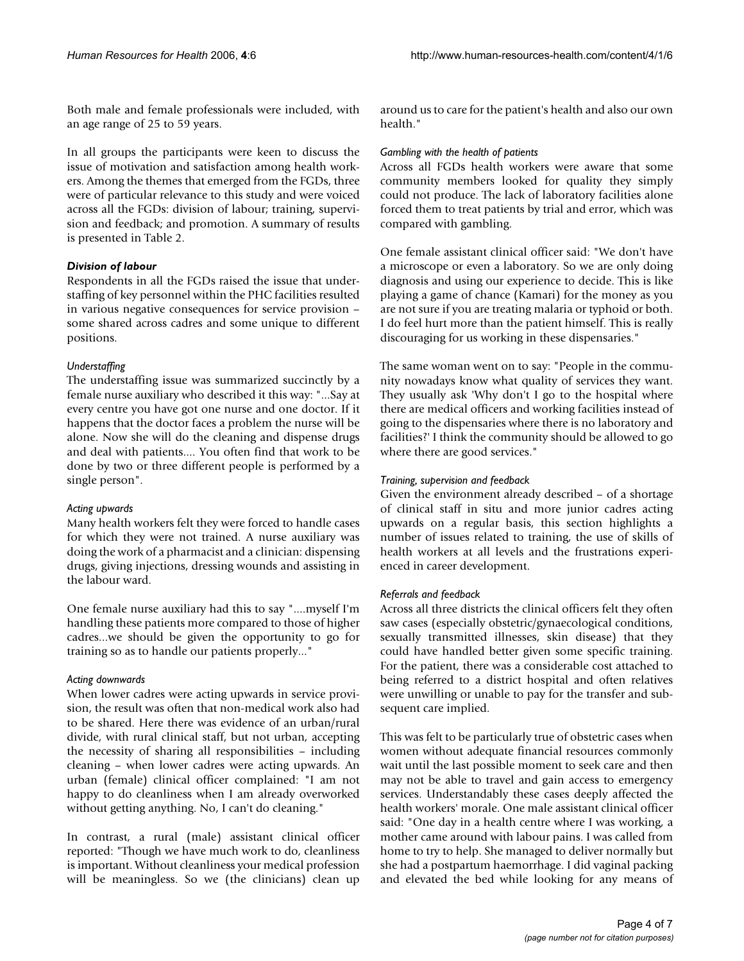Both male and female professionals were included, with an age range of 25 to 59 years.

In all groups the participants were keen to discuss the issue of motivation and satisfaction among health workers. Among the themes that emerged from the FGDs, three were of particular relevance to this study and were voiced across all the FGDs: division of labour; training, supervision and feedback; and promotion. A summary of results is presented in Table 2.

# *Division of labour*

Respondents in all the FGDs raised the issue that understaffing of key personnel within the PHC facilities resulted in various negative consequences for service provision – some shared across cadres and some unique to different positions.

# *Understaffing*

The understaffing issue was summarized succinctly by a female nurse auxiliary who described it this way: "...Say at every centre you have got one nurse and one doctor. If it happens that the doctor faces a problem the nurse will be alone. Now she will do the cleaning and dispense drugs and deal with patients.... You often find that work to be done by two or three different people is performed by a single person".

# *Acting upwards*

Many health workers felt they were forced to handle cases for which they were not trained. A nurse auxiliary was doing the work of a pharmacist and a clinician: dispensing drugs, giving injections, dressing wounds and assisting in the labour ward.

One female nurse auxiliary had this to say "....myself I'm handling these patients more compared to those of higher cadres...we should be given the opportunity to go for training so as to handle our patients properly..."

# *Acting downwards*

When lower cadres were acting upwards in service provision, the result was often that non-medical work also had to be shared. Here there was evidence of an urban/rural divide, with rural clinical staff, but not urban, accepting the necessity of sharing all responsibilities – including cleaning – when lower cadres were acting upwards. An urban (female) clinical officer complained: "I am not happy to do cleanliness when I am already overworked without getting anything. No, I can't do cleaning."

In contrast, a rural (male) assistant clinical officer reported: "Though we have much work to do, cleanliness is important. Without cleanliness your medical profession will be meaningless. So we (the clinicians) clean up around us to care for the patient's health and also our own health."

## *Gambling with the health of patients*

Across all FGDs health workers were aware that some community members looked for quality they simply could not produce. The lack of laboratory facilities alone forced them to treat patients by trial and error, which was compared with gambling.

One female assistant clinical officer said: "We don't have a microscope or even a laboratory. So we are only doing diagnosis and using our experience to decide. This is like playing a game of chance (Kamari) for the money as you are not sure if you are treating malaria or typhoid or both. I do feel hurt more than the patient himself. This is really discouraging for us working in these dispensaries."

The same woman went on to say: "People in the community nowadays know what quality of services they want. They usually ask 'Why don't I go to the hospital where there are medical officers and working facilities instead of going to the dispensaries where there is no laboratory and facilities?' I think the community should be allowed to go where there are good services."

# *Training, supervision and feedback*

Given the environment already described – of a shortage of clinical staff in situ and more junior cadres acting upwards on a regular basis, this section highlights a number of issues related to training, the use of skills of health workers at all levels and the frustrations experienced in career development.

## *Referrals and feedback*

Across all three districts the clinical officers felt they often saw cases (especially obstetric/gynaecological conditions, sexually transmitted illnesses, skin disease) that they could have handled better given some specific training. For the patient, there was a considerable cost attached to being referred to a district hospital and often relatives were unwilling or unable to pay for the transfer and subsequent care implied.

This was felt to be particularly true of obstetric cases when women without adequate financial resources commonly wait until the last possible moment to seek care and then may not be able to travel and gain access to emergency services. Understandably these cases deeply affected the health workers' morale. One male assistant clinical officer said: "One day in a health centre where I was working, a mother came around with labour pains. I was called from home to try to help. She managed to deliver normally but she had a postpartum haemorrhage. I did vaginal packing and elevated the bed while looking for any means of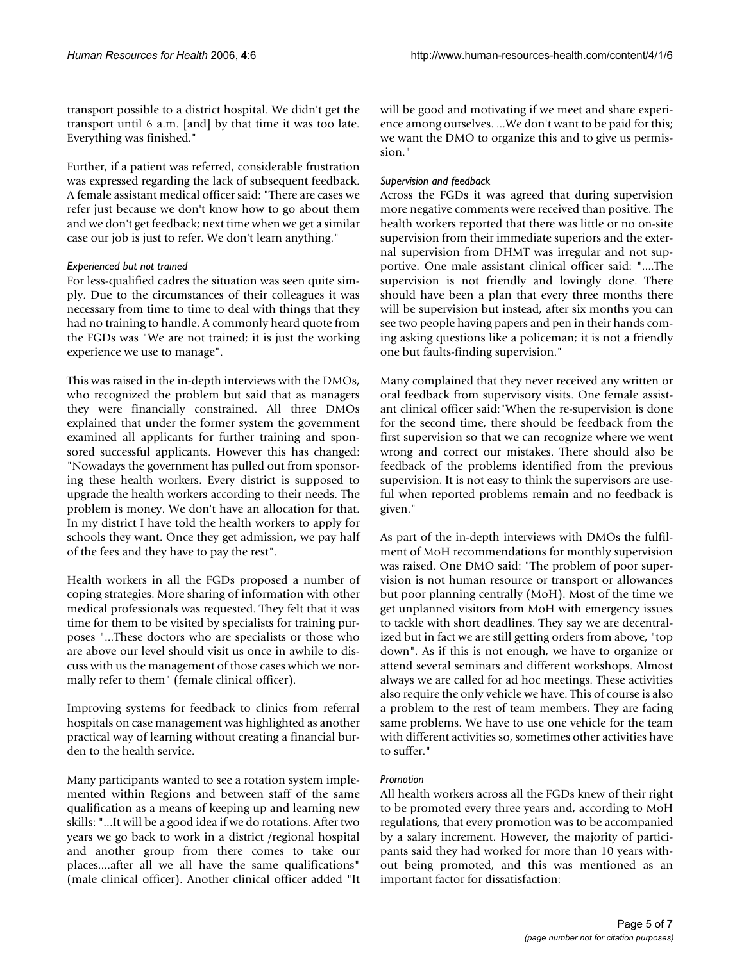transport possible to a district hospital. We didn't get the transport until 6 a.m. [and] by that time it was too late. Everything was finished."

Further, if a patient was referred, considerable frustration was expressed regarding the lack of subsequent feedback. A female assistant medical officer said: "There are cases we refer just because we don't know how to go about them and we don't get feedback; next time when we get a similar case our job is just to refer. We don't learn anything."

# *Experienced but not trained*

For less-qualified cadres the situation was seen quite simply. Due to the circumstances of their colleagues it was necessary from time to time to deal with things that they had no training to handle. A commonly heard quote from the FGDs was "We are not trained; it is just the working experience we use to manage".

This was raised in the in-depth interviews with the DMOs, who recognized the problem but said that as managers they were financially constrained. All three DMOs explained that under the former system the government examined all applicants for further training and sponsored successful applicants. However this has changed: "Nowadays the government has pulled out from sponsoring these health workers. Every district is supposed to upgrade the health workers according to their needs. The problem is money. We don't have an allocation for that. In my district I have told the health workers to apply for schools they want. Once they get admission, we pay half of the fees and they have to pay the rest".

Health workers in all the FGDs proposed a number of coping strategies. More sharing of information with other medical professionals was requested. They felt that it was time for them to be visited by specialists for training purposes "...These doctors who are specialists or those who are above our level should visit us once in awhile to discuss with us the management of those cases which we normally refer to them" (female clinical officer).

Improving systems for feedback to clinics from referral hospitals on case management was highlighted as another practical way of learning without creating a financial burden to the health service.

Many participants wanted to see a rotation system implemented within Regions and between staff of the same qualification as a means of keeping up and learning new skills: "...It will be a good idea if we do rotations. After two years we go back to work in a district /regional hospital and another group from there comes to take our places....after all we all have the same qualifications" (male clinical officer). Another clinical officer added "It will be good and motivating if we meet and share experience among ourselves. ...We don't want to be paid for this; we want the DMO to organize this and to give us permission."

# *Supervision and feedback*

Across the FGDs it was agreed that during supervision more negative comments were received than positive. The health workers reported that there was little or no on-site supervision from their immediate superiors and the external supervision from DHMT was irregular and not supportive. One male assistant clinical officer said: "....The supervision is not friendly and lovingly done. There should have been a plan that every three months there will be supervision but instead, after six months you can see two people having papers and pen in their hands coming asking questions like a policeman; it is not a friendly one but faults-finding supervision."

Many complained that they never received any written or oral feedback from supervisory visits. One female assistant clinical officer said:"When the re-supervision is done for the second time, there should be feedback from the first supervision so that we can recognize where we went wrong and correct our mistakes. There should also be feedback of the problems identified from the previous supervision. It is not easy to think the supervisors are useful when reported problems remain and no feedback is given."

As part of the in-depth interviews with DMOs the fulfilment of MoH recommendations for monthly supervision was raised. One DMO said: "The problem of poor supervision is not human resource or transport or allowances but poor planning centrally (MoH). Most of the time we get unplanned visitors from MoH with emergency issues to tackle with short deadlines. They say we are decentralized but in fact we are still getting orders from above, "top down". As if this is not enough, we have to organize or attend several seminars and different workshops. Almost always we are called for ad hoc meetings. These activities also require the only vehicle we have. This of course is also a problem to the rest of team members. They are facing same problems. We have to use one vehicle for the team with different activities so, sometimes other activities have to suffer."

# *Promotion*

All health workers across all the FGDs knew of their right to be promoted every three years and, according to MoH regulations, that every promotion was to be accompanied by a salary increment. However, the majority of participants said they had worked for more than 10 years without being promoted, and this was mentioned as an important factor for dissatisfaction: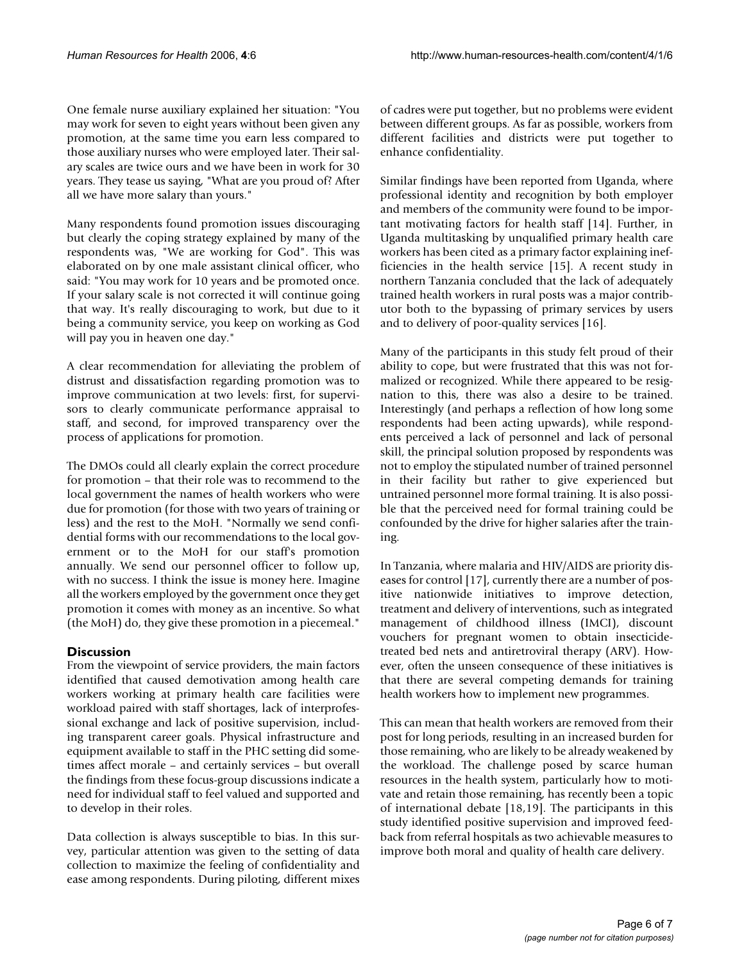One female nurse auxiliary explained her situation: "You may work for seven to eight years without been given any promotion, at the same time you earn less compared to those auxiliary nurses who were employed later. Their salary scales are twice ours and we have been in work for 30 years. They tease us saying, "What are you proud of? After all we have more salary than yours."

Many respondents found promotion issues discouraging but clearly the coping strategy explained by many of the respondents was, "We are working for God". This was elaborated on by one male assistant clinical officer, who said: "You may work for 10 years and be promoted once. If your salary scale is not corrected it will continue going that way. It's really discouraging to work, but due to it being a community service, you keep on working as God will pay you in heaven one day."

A clear recommendation for alleviating the problem of distrust and dissatisfaction regarding promotion was to improve communication at two levels: first, for supervisors to clearly communicate performance appraisal to staff, and second, for improved transparency over the process of applications for promotion.

The DMOs could all clearly explain the correct procedure for promotion – that their role was to recommend to the local government the names of health workers who were due for promotion (for those with two years of training or less) and the rest to the MoH. "Normally we send confidential forms with our recommendations to the local government or to the MoH for our staff's promotion annually. We send our personnel officer to follow up, with no success. I think the issue is money here. Imagine all the workers employed by the government once they get promotion it comes with money as an incentive. So what (the MoH) do, they give these promotion in a piecemeal."

# **Discussion**

From the viewpoint of service providers, the main factors identified that caused demotivation among health care workers working at primary health care facilities were workload paired with staff shortages, lack of interprofessional exchange and lack of positive supervision, including transparent career goals. Physical infrastructure and equipment available to staff in the PHC setting did sometimes affect morale – and certainly services – but overall the findings from these focus-group discussions indicate a need for individual staff to feel valued and supported and to develop in their roles.

Data collection is always susceptible to bias. In this survey, particular attention was given to the setting of data collection to maximize the feeling of confidentiality and ease among respondents. During piloting, different mixes

of cadres were put together, but no problems were evident between different groups. As far as possible, workers from different facilities and districts were put together to enhance confidentiality.

Similar findings have been reported from Uganda, where professional identity and recognition by both employer and members of the community were found to be important motivating factors for health staff [14]. Further, in Uganda multitasking by unqualified primary health care workers has been cited as a primary factor explaining inefficiencies in the health service [15]. A recent study in northern Tanzania concluded that the lack of adequately trained health workers in rural posts was a major contributor both to the bypassing of primary services by users and to delivery of poor-quality services [16].

Many of the participants in this study felt proud of their ability to cope, but were frustrated that this was not formalized or recognized. While there appeared to be resignation to this, there was also a desire to be trained. Interestingly (and perhaps a reflection of how long some respondents had been acting upwards), while respondents perceived a lack of personnel and lack of personal skill, the principal solution proposed by respondents was not to employ the stipulated number of trained personnel in their facility but rather to give experienced but untrained personnel more formal training. It is also possible that the perceived need for formal training could be confounded by the drive for higher salaries after the training.

In Tanzania, where malaria and HIV/AIDS are priority diseases for control [17], currently there are a number of positive nationwide initiatives to improve detection, treatment and delivery of interventions, such as integrated management of childhood illness (IMCI), discount vouchers for pregnant women to obtain insecticidetreated bed nets and antiretroviral therapy (ARV). However, often the unseen consequence of these initiatives is that there are several competing demands for training health workers how to implement new programmes.

This can mean that health workers are removed from their post for long periods, resulting in an increased burden for those remaining, who are likely to be already weakened by the workload. The challenge posed by scarce human resources in the health system, particularly how to motivate and retain those remaining, has recently been a topic of international debate [18,19]. The participants in this study identified positive supervision and improved feedback from referral hospitals as two achievable measures to improve both moral and quality of health care delivery.